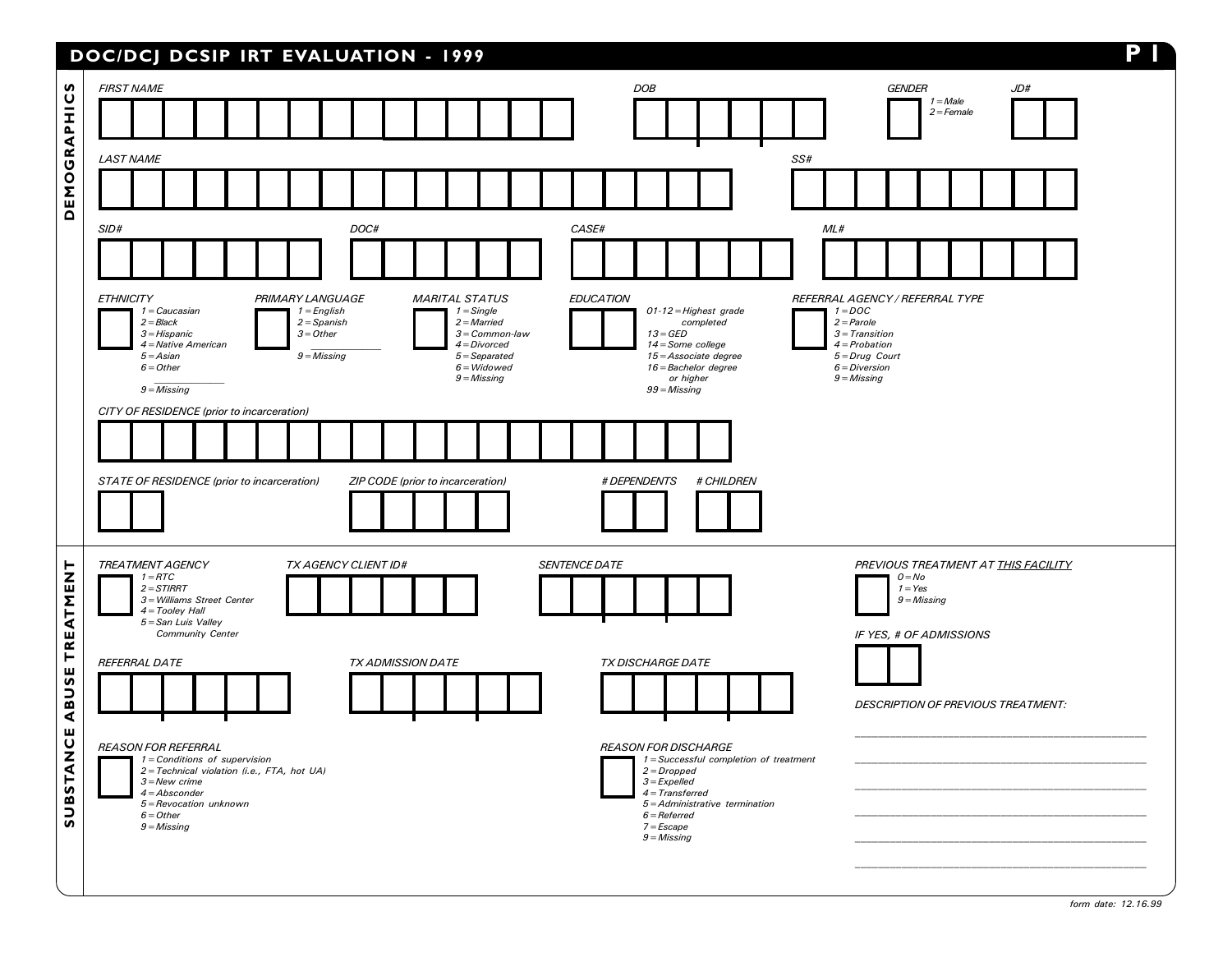## DOC/DCJ DCSIP IRT EVALUATION - 1999 P 1

| S                                      | <b>FIRST NAME</b>                                                                                                                                                                                                                                                                                                                                                                      | <b>DOB</b><br><b>GENDER</b><br>JD#<br>$1 = Male$                                                                                                                                                                                                                                                                                            |
|----------------------------------------|----------------------------------------------------------------------------------------------------------------------------------------------------------------------------------------------------------------------------------------------------------------------------------------------------------------------------------------------------------------------------------------|---------------------------------------------------------------------------------------------------------------------------------------------------------------------------------------------------------------------------------------------------------------------------------------------------------------------------------------------|
|                                        |                                                                                                                                                                                                                                                                                                                                                                                        | $2 =$ Female                                                                                                                                                                                                                                                                                                                                |
|                                        | <b>LAST NAME</b>                                                                                                                                                                                                                                                                                                                                                                       | SS#                                                                                                                                                                                                                                                                                                                                         |
| EMOGRAPHIC                             |                                                                                                                                                                                                                                                                                                                                                                                        |                                                                                                                                                                                                                                                                                                                                             |
| $\overline{\mathbf{a}}$                | SID#<br>DOC#                                                                                                                                                                                                                                                                                                                                                                           | CASE#<br>ML#                                                                                                                                                                                                                                                                                                                                |
|                                        |                                                                                                                                                                                                                                                                                                                                                                                        |                                                                                                                                                                                                                                                                                                                                             |
|                                        | <b>ETHNICITY</b><br>PRIMARY LANGUAGE<br><b>MARITAL STATUS</b><br>$1$ = English<br>$1 =$ Single<br>$1 - Caucasian$<br>$2 = Black$<br>$2 =$ Spanish<br>$2 =$ Married<br>$3 = Other$<br>$3 = Hispanic$<br>$3 = Common-law$<br>4 = Native American<br>$4 = Divored$<br>$9$ = Missing<br>$5 =$ Separated<br>$5 = Asian$<br>$6 = Other$<br>$6 = Widowed$<br>$9 = M$ issing<br>$9 = M$ issing | <b>EDUCATION</b><br>REFERRAL AGENCY / REFERRAL TYPE<br>$1 = DOC$<br>01-12 = Highest grade<br>$2 = Parole$<br>completed<br>$3$ = Transition<br>$13 = GED$<br>14 = Some college<br>$4 = Probability$<br>$5 = Drug$ Court<br>15 = Associate degree<br>16 = Bachelor degree<br>$6 = Diversion$<br>or higher<br>$9 = M$ issing<br>$99$ = Missing |
|                                        | CITY OF RESIDENCE (prior to incarceration)<br>STATE OF RESIDENCE (prior to incarceration)<br>ZIP CODE (prior to incarceration)                                                                                                                                                                                                                                                         | # DEPENDENTS<br># CHILDREN                                                                                                                                                                                                                                                                                                                  |
|                                        |                                                                                                                                                                                                                                                                                                                                                                                        |                                                                                                                                                                                                                                                                                                                                             |
| <b>TREATMENT</b><br>ABUSE<br>SUBSTANCE | <b>TREATMENT AGENCY</b><br><b>TX AGENCY CLIENT ID#</b><br>$1 =$ RTC<br>$2 = STIRRT$<br>3 = Williams Street Center<br>$4 = Tooley Hall$<br>5 = San Luis Valley<br>Community Center                                                                                                                                                                                                      | <b>SENTENCE DATE</b><br>PREVIOUS TREATMENT AT THIS FACILITY<br>$0 = No$<br>$1 = Yes$<br>$9$ = Missing<br>IF YES, # OF ADMISSIONS                                                                                                                                                                                                            |
|                                        | REFERRAL DATE<br><b>TX ADMISSION DATE</b>                                                                                                                                                                                                                                                                                                                                              | <b>TX DISCHARGE DATE</b><br>DESCRIPTION OF PREVIOUS TREATMENT:                                                                                                                                                                                                                                                                              |
|                                        | <b>REASON FOR REFERRAL</b><br>$1 =$ Conditions of supervision<br>2 = Technical violation (i.e., FTA, hot UA)<br>$3 = New$ crime<br>$4 = Absconder$<br>5 = Revocation unknown<br>$6 = Other$<br>$9 = M$ issing                                                                                                                                                                          | <b>REASON FOR DISCHARGE</b><br>1 = Successful completion of treatment<br>$2 = Dropped$<br>$3 =$ Expelled<br>$4 = Transferred$<br>5=Administrative termination<br>$6 =$ Referred<br>$7 = Escape$<br>$9$ = Missing                                                                                                                            |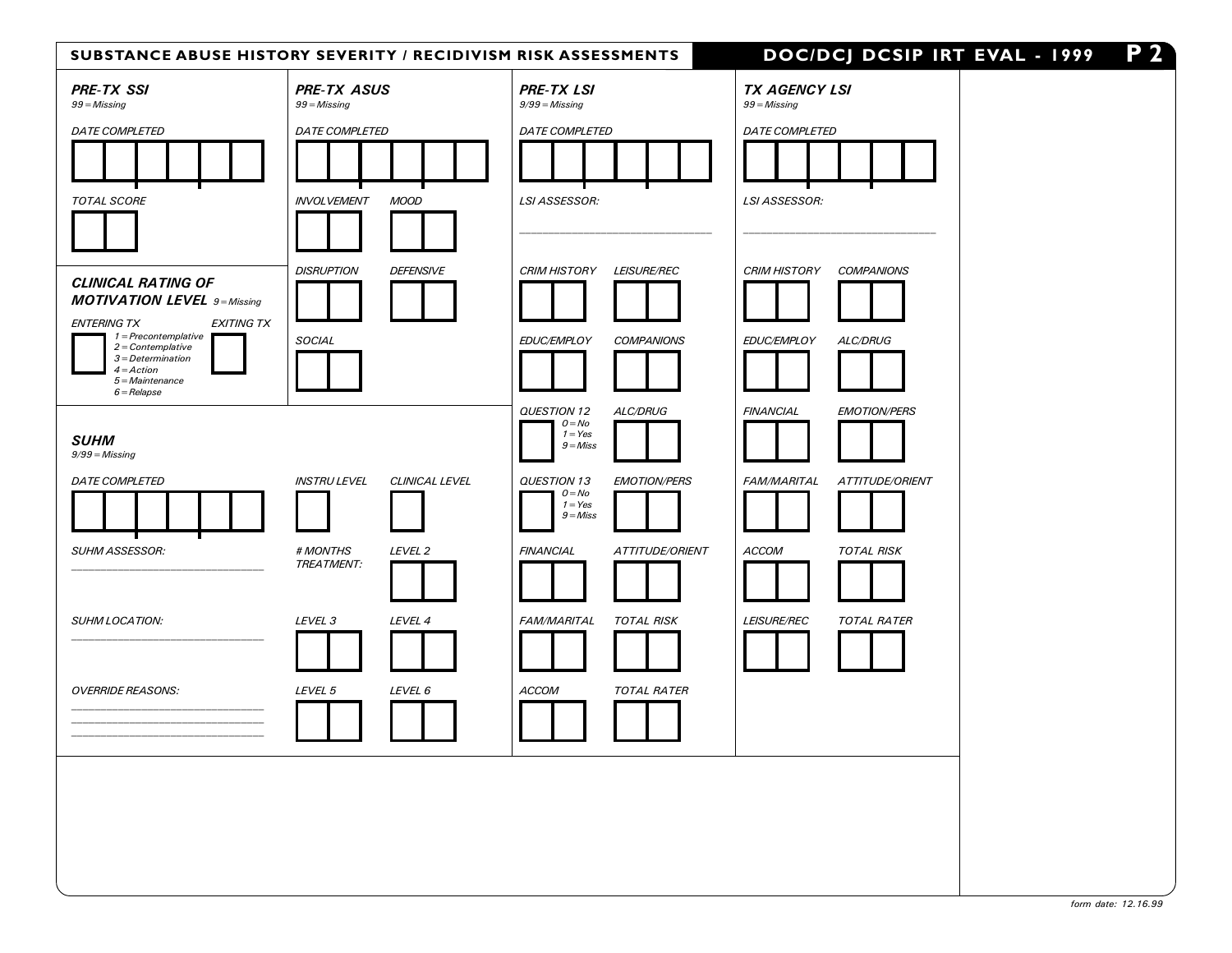